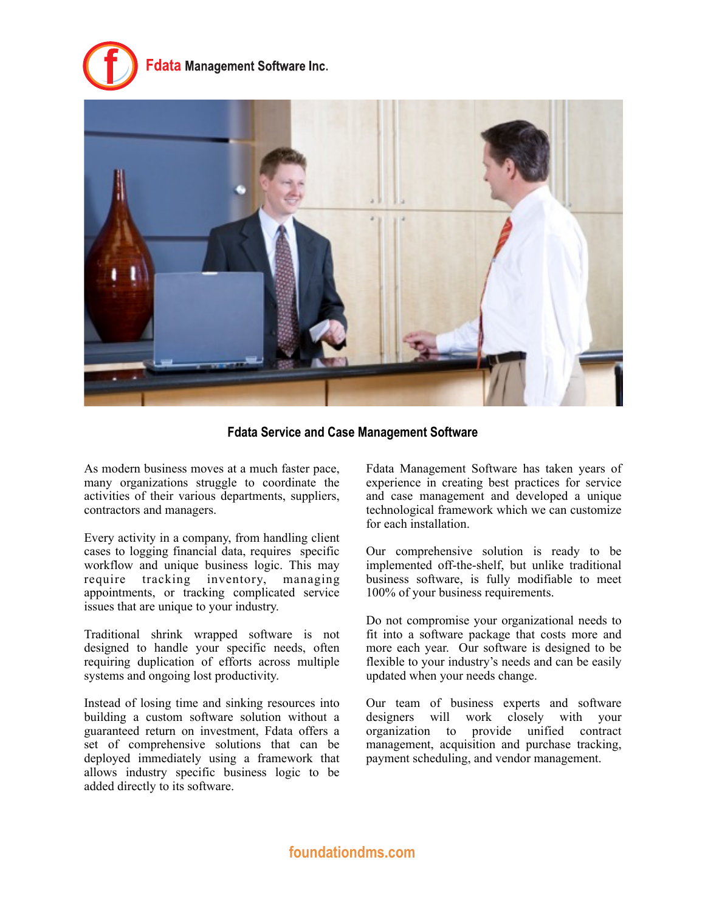# data Management Software Inc.



**Fdata Service and Case Management Software**

As modern business moves at a much faster pace, many organizations struggle to coordinate the activities of their various departments, suppliers, contractors and managers.

Every activity in a company, from handling client cases to logging financial data, requires specific workflow and unique business logic. This may require tracking inventory, managing appointments, or tracking complicated service issues that are unique to your industry.

Traditional shrink wrapped software is not designed to handle your specific needs, often requiring duplication of efforts across multiple systems and ongoing lost productivity.

Instead of losing time and sinking resources into building a custom software solution without a guaranteed return on investment, Fdata offers a set of comprehensive solutions that can be deployed immediately using a framework that allows industry specific business logic to be added directly to its software.

Fdata Management Software has taken years of experience in creating best practices for service and case management and developed a unique technological framework which we can customize for each installation.

Our comprehensive solution is ready to be implemented off-the-shelf, but unlike traditional business software, is fully modifiable to meet 100% of your business requirements.

Do not compromise your organizational needs to fit into a software package that costs more and more each year. Our software is designed to be flexible to your industry's needs and can be easily updated when your needs change.

Our team of business experts and software designers will work closely with your organization to provide unified contract management, acquisition and purchase tracking, payment scheduling, and vendor management.